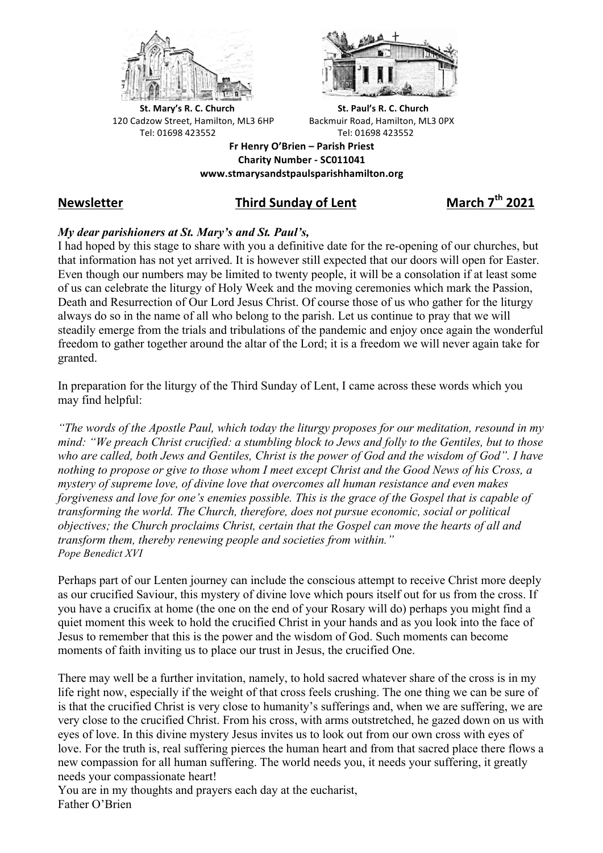



**St.** Mary's R. C. Church St. Paul's R. C. Church 120 Cadzow Street, Hamilton, ML3 6HP Backmuir Road, Hamilton, ML3 0PX Tel: 01698 423552 Tel: 01698 423552

**Fr Henry O'Brien – Parish Priest Charity Number - SC011041 www.stmarysandstpaulsparishhamilton.org**

# **Newsletter Third Sunday of Lent March 7th 2021**

# *My dear parishioners at St. Mary's and St. Paul's,*

I had hoped by this stage to share with you a definitive date for the re-opening of our churches, but that information has not yet arrived. It is however still expected that our doors will open for Easter. Even though our numbers may be limited to twenty people, it will be a consolation if at least some of us can celebrate the liturgy of Holy Week and the moving ceremonies which mark the Passion, Death and Resurrection of Our Lord Jesus Christ. Of course those of us who gather for the liturgy always do so in the name of all who belong to the parish. Let us continue to pray that we will steadily emerge from the trials and tribulations of the pandemic and enjoy once again the wonderful freedom to gather together around the altar of the Lord; it is a freedom we will never again take for granted.

In preparation for the liturgy of the Third Sunday of Lent, I came across these words which you may find helpful:

*"The words of the Apostle Paul, which today the liturgy proposes for our meditation, resound in my mind: "We preach Christ crucified: a stumbling block to Jews and folly to the Gentiles, but to those who are called, both Jews and Gentiles, Christ is the power of God and the wisdom of God". I have nothing to propose or give to those whom I meet except Christ and the Good News of his Cross, a mystery of supreme love, of divine love that overcomes all human resistance and even makes forgiveness and love for one's enemies possible. This is the grace of the Gospel that is capable of transforming the world. The Church, therefore, does not pursue economic, social or political objectives; the Church proclaims Christ, certain that the Gospel can move the hearts of all and transform them, thereby renewing people and societies from within." Pope Benedict XVI*

Perhaps part of our Lenten journey can include the conscious attempt to receive Christ more deeply as our crucified Saviour, this mystery of divine love which pours itself out for us from the cross. If you have a crucifix at home (the one on the end of your Rosary will do) perhaps you might find a quiet moment this week to hold the crucified Christ in your hands and as you look into the face of Jesus to remember that this is the power and the wisdom of God. Such moments can become moments of faith inviting us to place our trust in Jesus, the crucified One.

There may well be a further invitation, namely, to hold sacred whatever share of the cross is in my life right now, especially if the weight of that cross feels crushing. The one thing we can be sure of is that the crucified Christ is very close to humanity's sufferings and, when we are suffering, we are very close to the crucified Christ. From his cross, with arms outstretched, he gazed down on us with eyes of love. In this divine mystery Jesus invites us to look out from our own cross with eyes of love. For the truth is, real suffering pierces the human heart and from that sacred place there flows a new compassion for all human suffering. The world needs you, it needs your suffering, it greatly needs your compassionate heart!

You are in my thoughts and prayers each day at the eucharist, Father O'Brien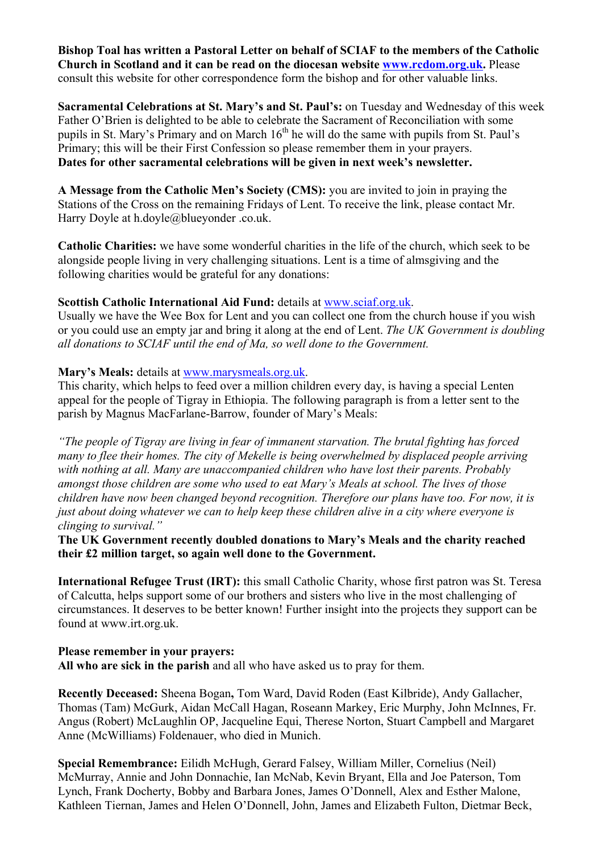**Bishop Toal has written a Pastoral Letter on behalf of SCIAF to the members of the Catholic Church in Scotland and it can be read on the diocesan website www.rcdom.org.uk.** Please consult this website for other correspondence form the bishop and for other valuable links.

**Sacramental Celebrations at St. Mary's and St. Paul's:** on Tuesday and Wednesday of this week Father O'Brien is delighted to be able to celebrate the Sacrament of Reconciliation with some pupils in St. Mary's Primary and on March 16<sup>th</sup> he will do the same with pupils from St. Paul's Primary; this will be their First Confession so please remember them in your prayers. **Dates for other sacramental celebrations will be given in next week's newsletter.**

**A Message from the Catholic Men's Society (CMS):** you are invited to join in praying the Stations of the Cross on the remaining Fridays of Lent. To receive the link, please contact Mr. Harry Doyle at h.doyle@blueyonder .co.uk.

**Catholic Charities:** we have some wonderful charities in the life of the church, which seek to be alongside people living in very challenging situations. Lent is a time of almsgiving and the following charities would be grateful for any donations:

### **Scottish Catholic International Aid Fund:** details at www.sciaf.org.uk.

Usually we have the Wee Box for Lent and you can collect one from the church house if you wish or you could use an empty jar and bring it along at the end of Lent. *The UK Government is doubling all donations to SCIAF until the end of Ma, so well done to the Government.*

# **Mary's Meals:** details at www.marysmeals.org.uk.

This charity, which helps to feed over a million children every day, is having a special Lenten appeal for the people of Tigray in Ethiopia. The following paragraph is from a letter sent to the parish by Magnus MacFarlane-Barrow, founder of Mary's Meals:

*"The people of Tigray are living in fear of immanent starvation. The brutal fighting has forced many to flee their homes. The city of Mekelle is being overwhelmed by displaced people arriving with nothing at all. Many are unaccompanied children who have lost their parents. Probably amongst those children are some who used to eat Mary's Meals at school. The lives of those children have now been changed beyond recognition. Therefore our plans have too. For now, it is just about doing whatever we can to help keep these children alive in a city where everyone is clinging to survival."*

**The UK Government recently doubled donations to Mary's Meals and the charity reached their £2 million target, so again well done to the Government.**

**International Refugee Trust (IRT):** this small Catholic Charity, whose first patron was St. Teresa of Calcutta, helps support some of our brothers and sisters who live in the most challenging of circumstances. It deserves to be better known! Further insight into the projects they support can be found at www.irt.org.uk.

### **Please remember in your prayers:**

**All who are sick in the parish** and all who have asked us to pray for them.

**Recently Deceased:** Sheena Bogan**,** Tom Ward, David Roden (East Kilbride), Andy Gallacher, Thomas (Tam) McGurk, Aidan McCall Hagan, Roseann Markey, Eric Murphy, John McInnes, Fr. Angus (Robert) McLaughlin OP, Jacqueline Equi, Therese Norton, Stuart Campbell and Margaret Anne (McWilliams) Foldenauer, who died in Munich.

**Special Remembrance:** Eilidh McHugh, Gerard Falsey, William Miller, Cornelius (Neil) McMurray, Annie and John Donnachie, Ian McNab, Kevin Bryant, Ella and Joe Paterson, Tom Lynch, Frank Docherty, Bobby and Barbara Jones, James O'Donnell, Alex and Esther Malone, Kathleen Tiernan, James and Helen O'Donnell, John, James and Elizabeth Fulton, Dietmar Beck,